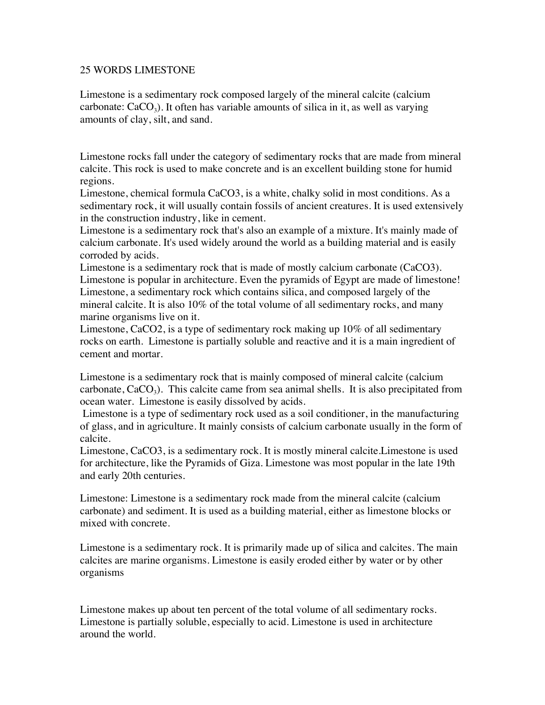## 25 WORDS LIMESTONE

Limestone is a sedimentary rock composed largely of the mineral calcite (calcium carbonate:  $CaCO<sub>3</sub>$ ). It often has variable amounts of silica in it, as well as varying amounts of clay, silt, and sand.

Limestone rocks fall under the category of sedimentary rocks that are made from mineral calcite. This rock is used to make concrete and is an excellent building stone for humid regions.

Limestone, chemical formula CaCO3, is a white, chalky solid in most conditions. As a sedimentary rock, it will usually contain fossils of ancient creatures. It is used extensively in the construction industry, like in cement.

Limestone is a sedimentary rock that's also an example of a mixture. It's mainly made of calcium carbonate. It's used widely around the world as a building material and is easily corroded by acids.

Limestone is a sedimentary rock that is made of mostly calcium carbonate (CaCO3). Limestone is popular in architecture. Even the pyramids of Egypt are made of limestone! Limestone, a sedimentary rock which contains silica, and composed largely of the mineral calcite. It is also 10% of the total volume of all sedimentary rocks, and many marine organisms live on it.

Limestone, CaCO2, is a type of sedimentary rock making up 10% of all sedimentary rocks on earth. Limestone is partially soluble and reactive and it is a main ingredient of cement and mortar.

Limestone is a sedimentary rock that is mainly composed of mineral calcite (calcium carbonate,  $CaCO<sub>3</sub>$ ). This calcite came from sea animal shells. It is also precipitated from ocean water. Limestone is easily dissolved by acids.

 Limestone is a type of sedimentary rock used as a soil conditioner, in the manufacturing of glass, and in agriculture. It mainly consists of calcium carbonate usually in the form of calcite.

Limestone, CaCO3, is a sedimentary rock. It is mostly mineral calcite.Limestone is used for architecture, like the Pyramids of Giza. Limestone was most popular in the late 19th and early 20th centuries.

Limestone: Limestone is a sedimentary rock made from the mineral calcite (calcium carbonate) and sediment. It is used as a building material, either as limestone blocks or mixed with concrete.

Limestone is a sedimentary rock. It is primarily made up of silica and calcites. The main calcites are marine organisms. Limestone is easily eroded either by water or by other organisms

Limestone makes up about ten percent of the total volume of all sedimentary rocks. Limestone is partially soluble, especially to acid. Limestone is used in architecture around the world.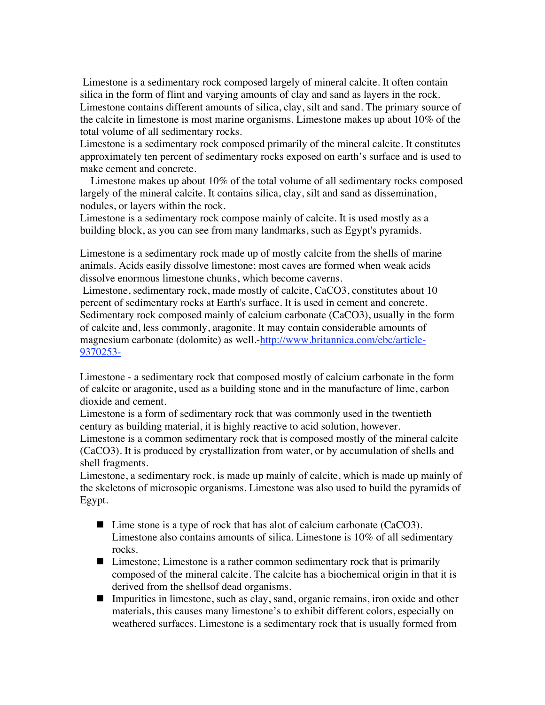Limestone is a sedimentary rock composed largely of mineral calcite. It often contain silica in the form of flint and varying amounts of clay and sand as layers in the rock. Limestone contains different amounts of silica, clay, silt and sand. The primary source of the calcite in limestone is most marine organisms. Limestone makes up about 10% of the total volume of all sedimentary rocks.

Limestone is a sedimentary rock composed primarily of the mineral calcite. It constitutes approximately ten percent of sedimentary rocks exposed on earth's surface and is used to make cement and concrete.

 Limestone makes up about 10% of the total volume of all sedimentary rocks composed largely of the mineral calcite. It contains silica, clay, silt and sand as dissemination, nodules, or layers within the rock.

Limestone is a sedimentary rock compose mainly of calcite. It is used mostly as a building block, as you can see from many landmarks, such as Egypt's pyramids.

Limestone is a sedimentary rock made up of mostly calcite from the shells of marine animals. Acids easily dissolve limestone; most caves are formed when weak acids dissolve enormous limestone chunks, which become caverns.

 Limestone, sedimentary rock, made mostly of calcite, CaCO3, constitutes about 10 percent of sedimentary rocks at Earth's surface. It is used in cement and concrete. Sedimentary rock composed mainly of calcium carbonate (CaCO3), usually in the form of calcite and, less commonly, aragonite. It may contain considerable amounts of magnesium carbonate (dolomite) as well.-http://www.britannica.com/ebc/article-9370253-

Limestone - a sedimentary rock that composed mostly of calcium carbonate in the form of calcite or aragonite, used as a building stone and in the manufacture of lime, carbon dioxide and cement.

Limestone is a form of sedimentary rock that was commonly used in the twentieth century as building material, it is highly reactive to acid solution, however.

Limestone is a common sedimentary rock that is composed mostly of the mineral calcite (CaCO3). It is produced by crystallization from water, or by accumulation of shells and shell fragments.

Limestone, a sedimentary rock, is made up mainly of calcite, which is made up mainly of the skeletons of microsopic organisms. Limestone was also used to build the pyramids of Egypt.

- Lime stone is a type of rock that has alot of calcium carbonate (CaCO3). Limestone also contains amounts of silica. Limestone is 10% of all sedimentary rocks.
- Limestone; Limestone is a rather common sedimentary rock that is primarily composed of the mineral calcite. The calcite has a biochemical origin in that it is derived from the shellsof dead organisms.
- Impurities in limestone, such as clay, sand, organic remains, iron oxide and other materials, this causes many limestone's to exhibit different colors, especially on weathered surfaces. Limestone is a sedimentary rock that is usually formed from